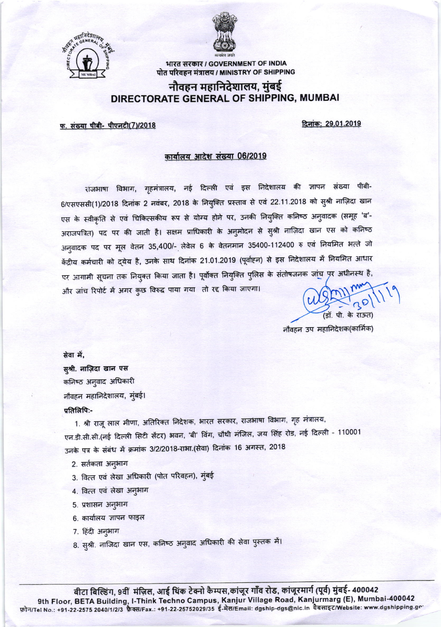



भारत सरकार / GOVERNMENT OF INDIA पोत परिवहन मंत्रालय / MINISTRY OF SHIPPING

## नौवहन महानिदेशालय, मुंबई DIRECTORATE GENERAL OF SHIPPING, MUMBAI

फ. संख्या पीबी- पीएनटी(7)/2018

दिनांक: 29.01.2019

## कार्यालय आदेश संख्या 06/2019

राजभाषा विभाग, गृहमंत्रालय, नई दिल्ली एवं इस निदेशालय की ज्ञापन संख्या पीबी-6/एसएससी(1)/2018 दिनांक 2 नवंबर, 2018 के नियुक्ति प्रस्ताव से एवं 22.11.2018 को सुश्री नाज़िदा खान एस के स्वीकृति से एवं चिकित्सकीय रूप से योग्य होने पर, उनकी नियुक्ति कनिष्ठ अनुवादक (समूह 'ब'-अराजपत्रित) पद पर की जाती है। सक्षम प्राधिकारी के अनुमोदन से सुश्री नाज़िदा खान एस को कनिष्ठ अनुवादक पद पर मूल वेतन 35,400/- लेवेल 6 के वेतनमान 35400-112400 रु एवं नियमित भत्ते जो केंद्रीय कर्मचारी को द्येय है, उनके साथ दिनांक 21.01.2019 (पूर्वाहन) से इस निदेशालय में नियमित आधार पर आगामी सूचना तक नियुक्त किया जाता है। पूर्वोक्त नियुक्ति पुलिस के संतोषजनक जांच पर अधीनस्थ है, और जांच रिपोर्ट में अगर कुछ विरुद्ध पाया गया तो रद्द किया जाएगा।

no (डॉ. पी. के राऊत)

नौवहन उप महानिदेशक(कार्मिक)

सेवा में, सुश्री. नाज़िदा खान एस कनिष्ठ अनुवाद अधिकारी नौवहन महानिदेशालय, मुंबई। प्रतिलिपि:-

1. श्री राजू लाल मीणा, अतिरिक्त निदेशक, भारत सरकार, राजभाषा विभाग, गृह मंत्रालय, एन.डी.सी.सी.(नई दिल्ली सिटी सेंटर) भवन, 'बी' विंग, चौथी मंजिल, जय सिंह रोड, नई दिल्ली - 110001 उनके पत्र के संबंध में क्रमांक 3/2/2018-राभा.(सेवा) दिनांक 16 अगस्त, 2018

- 2. सर्तकता अनुभाग
- 3. वित्त एवं लेखा अधिकारी (पोत परिवहन), मुंबई
- 4. वित्त एवं लेखा अनुभाग
- 5. प्रशासन अनुभाग
- 6. कार्यालय ज्ञापन फाइल
- 7. हिंदी अनुभाग
- 8. सुश्री. नाजिदा खान एस, कनिष्ठ अनुवाद अधिकारी की सेवा पुस्तक में।

बीटा बिल्डिंग, 9वीं मंज़िल, आई थिंक टेक्नो कैम्पस,कांजूर गाँव रोड, कांजूरमार्ग (पूर्व) मुंबई- 400042 9th Floor, BETA Building, I-Think Techno Campus, Kanjur Village Road, Kanjurmarg (E), Mumbai-400042 फ़ोन/Tel No.: +91-22-2575 2040/1/2/3 फ़ैक्स/Fax.: +91-22-25752029/35 ई-मेल/Email: dgship-dgs@nic.in वैबसाइट/Website: www.dgshipping.gr